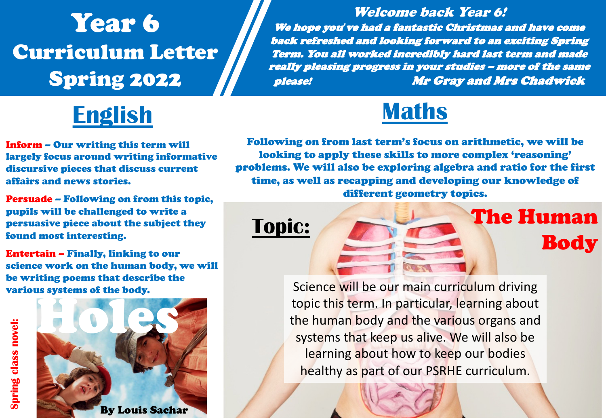# Year 6 Curriculum Letter Spring 2022



Inform – Our writing this term will largely focus around writing informative discursive pieces that discuss current affairs and news stories.

Persuade – Following on from this topic, pupils will be challenged to write a persuasive piece about the subject they found most interesting.

Entertain – Finally, linking to our science work on the human body, we will be writing poems that describe the various systems of the body.



Welcome back Year 6! We hope you*'*ve had a fantastic Christmas and have come back refreshed and looking forward to an exciting Spring Term. You all worked incredibly hard last term and made really pleasing progress in your studies – more of the same please! Mr Gray and Mrs Chadwick



Following on from last term's focus on arithmetic, we will be looking to apply these skills to more complex 'reasoning' problems. We will also be exploring algebra and ratio for the first time, as well as recapping and developing our knowledge of different geometry topics.

Topic: The Human

Body

Science will be our main curriculum driving topic this term. In particular, learning about the human body and the various organs and systems that keep us alive. We will also be learning about how to keep our bodies healthy as part of our PSRHE curriculum.